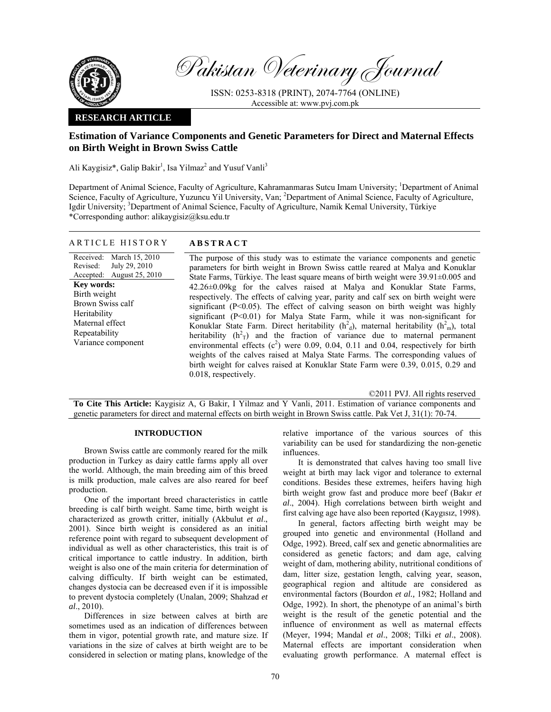

Pakistan Veterinary Journal

ISSN: 0253-8318 (PRINT), 2074-7764 (ONLINE) Accessible at: www.pvj.com.pk

# **RESEARCH ARTICLE**

# **Estimation of Variance Components and Genetic Parameters for Direct and Maternal Effects on Birth Weight in Brown Swiss Cattle**

Ali Kaygisiz\*, Galip Bakir<sup>1</sup>, Isa Yilmaz<sup>2</sup> and Yusuf Vanli<sup>3</sup>

Department of Animal Science, Faculty of Agriculture, Kahramanmaras Sutcu Imam University; <sup>1</sup>Department of Animal Science, Faculty of Agriculture, Yuzuncu Yil University, Van; <sup>2</sup>Department of Animal Science, Faculty of Agriculture, Igdir University; <sup>3</sup>Department of Animal Science, Faculty of Agriculture, Namik Kemal University, Türkiye \*Corresponding author: alikaygisiz@ksu.edu.tr

## ARTICLE HISTORY **ABSTRACT**

Received: Revised: Accepted: March 15, 2010 July 29, 2010 August 25, 2010 **Key words:**  Birth weight Brown Swiss calf Heritability Maternal effect Repeatability Variance component

The purpose of this study was to estimate the variance components and genetic parameters for birth weight in Brown Swiss cattle reared at Malya and Konuklar State Farms, Türkiye. The least square means of birth weight were 39.91±0.005 and 42.26±0.09kg for the calves raised at Malya and Konuklar State Farms, respectively. The effects of calving year, parity and calf sex on birth weight were significant (P<0.05). The effect of calving season on birth weight was highly significant (P<0.01) for Malya State Farm, while it was non-significant for Konuklar State Farm. Direct heritability  $(h_d)$ , maternal heritability  $(h_m)$ , total heritability  $(h<sup>2</sup><sub>T</sub>)$  and the fraction of variance due to maternal permanent environmental effects  $(c^2)$  were 0.09, 0.04, 0.11 and 0.04, respectively for birth weights of the calves raised at Malya State Farms. The corresponding values of birth weight for calves raised at Konuklar State Farm were 0.39, 0.015, 0.29 and 0.018, respectively.

©2011 PVJ. All rights reserved

**To Cite This Article:** Kaygisiz A, G Bakir, I Yilmaz and Y Vanli, 2011. Estimation of variance components and genetic parameters for direct and maternal effects on birth weight in Brown Swiss cattle. Pak Vet J, 31(1): 70-74.

### **INTRODUCTION**

Brown Swiss cattle are commonly reared for the milk production in Turkey as dairy cattle farms apply all over the world. Although, the main breeding aim of this breed is milk production, male calves are also reared for beef production.

One of the important breed characteristics in cattle breeding is calf birth weight. Same time, birth weight is characterized as growth critter, initially (Akbulut *et al*., 2001). Since birth weight is considered as an initial reference point with regard to subsequent development of individual as well as other characteristics, this trait is of critical importance to cattle industry. In addition, birth weight is also one of the main criteria for determination of calving difficulty. If birth weight can be estimated, changes dystocia can be decreased even if it is impossible to prevent dystocia completely (Unalan, 2009; Shahzad *et al*., 2010).

Differences in size between calves at birth are sometimes used as an indication of differences between them in vigor, potential growth rate, and mature size. If variations in the size of calves at birth weight are to be considered in selection or mating plans, knowledge of the

relative importance of the various sources of this variability can be used for standardizing the non-genetic influences.

It is demonstrated that calves having too small live weight at birth may lack vigor and tolerance to external conditions. Besides these extremes, heifers having high birth weight grow fast and produce more beef (Bakır *et al*., 2004). High correlations between birth weight and first calving age have also been reported (Kaygısız, 1998).

In general, factors affecting birth weight may be grouped into genetic and environmental (Holland and Odge, 1992). Breed, calf sex and genetic abnormalities are considered as genetic factors; and dam age, calving weight of dam, mothering ability, nutritional conditions of dam, litter size, gestation length, calving year, season, geographical region and altitude are considered as environmental factors (Bourdon *et al.,* 1982; Holland and Odge, 1992). In short, the phenotype of an animal's birth weight is the result of the genetic potential and the influence of environment as well as maternal effects (Meyer, 1994; Mandal *et al*., 2008; Tilki *et al*., 2008). Maternal effects are important consideration when evaluating growth performance. A maternal effect is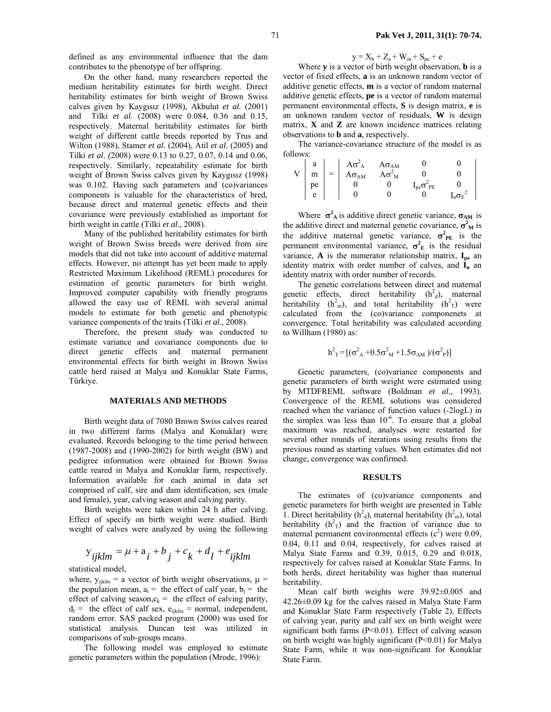defined as any environmental influence that the dam contributes to the phenotype of her offspring.

On the other hand, many researchers reported the medium heritability estimates for birth weight. Direct heritability estimates for birth weight of Brown Swiss calves given by Kaygısız (1998), Akbulut *et al.* (2001) and Tilki *et al*. (2008) were 0.084, 0.36 and 0.15, respectively. Maternal heritability estimates for birth weight of different cattle breeds reported by Trus and Wilton (1988), Stamer *et al.* (2004), Atil *et al.* (2005) and Tilki *et al. (*2008) were 0.13 to 0.27, 0.07, 0.14 and 0.06, respectively. Similarly, repeatability estimate for birth weight of Brown Swiss calves given by Kaygısız (1998) was 0.102. Having such parameters and (co)variances components is valuable for the characteristics of bred, because direct and maternal genetic effects and their covariance were previously established as important for birth weight in cattle (Tilki *et al*., 2008).

Many of the published heritability estimates for birth weight of Brown Swiss breeds were derived from sire models that did not take into account of additive maternal effects. However, no attempt has yet been made to apply Restricted Maximum Likelihood (REML) procedures for estimation of genetic parameters for birth weight. Improved computer capability with friendly programs allowed the easy use of REML with several animal models to estimate for both genetic and phenotypic variance components of the traits (Tilki *et al*., 2008).

Therefore, the present study was conducted to estimate variance and covariance components due to direct genetic effects and maternal permanent environmental effects for birth weight in Brown Swiss cattle herd raised at Malya and Konuklar State Farms, Türkiye.

### **MATERIALS AND METHODS**

Birth weight data of 7080 Brown Swiss calves reared in two different farms (Malya and Konuklar) were evaluated. Records belonging to the time period between (1987-2008) and (1990-2002) for birth weight (BW) and pedigree information were obtained for Brown Swiss cattle reared in Malya and Konuklar farm, respectively. Information available for each animal in data set comprised of calf, sire and dam identification, sex (male and female), year, calving season and calving parity.

Birth weights were taken within 24 h after calving. Effect of specify on birth weight were studied. Birth weight of calves were analyzed by using the following

$$
y_{ijklm} = \mu + a_i + b_j + c_k + d_l + e_{ijklm}
$$

statistical model,

where,  $y_{ijklm} = a$  vector of birth weight observations,  $\mu =$ the population mean,  $a_i$  = the effect of calf year,  $b_i$  = the effect of calving season, $c_k$  = the effect of calving parity,  $d_1$  = the effect of calf sex,  $e_{iiklm}$  = normal, independent, random error. SAS packed program (2000) was used for statistical analysis. Duncan test was utilized in comparisons of sub-groups means.

The following model was employed to estimate genetic parameters within the population (Mrode, 1996):

$$
y = X_b + Z_a + W_m + S_{pe} + e
$$

Where **y** is a vector of birth weight observation, **b** is a vector of fixed effects, **a** is an unknown random vector of additive genetic effects, **m** is a vector of random maternal additive genetic effects, **pe** is a vector of random maternal permanent environmental effects, **S** is design matrix, **e** is an unknown random vector of residuals, **W** is design matrix, **X** and **Z** are known incidence matrices relating observations to **b** and **a**, respectively.

The variance-covariance structure of the model is as follows:

|                | a              |          | $A\sigma_A^2$  |                                                                        |                       |  |
|----------------|----------------|----------|----------------|------------------------------------------------------------------------|-----------------------|--|
| $\overline{V}$ | $\overline{m}$ | $= \Box$ | $A\sigma_{AM}$ | $\frac{\mathsf{A} \sigma_\mathrm{AM}}{\mathsf{A} \sigma_\mathrm{M}^2}$ |                       |  |
|                | $ $ pe         |          |                |                                                                        | $I_{pe}\sigma^2_{PE}$ |  |
|                | e              |          |                |                                                                        |                       |  |

Where  $\sigma_A^2$  is additive direct genetic variance,  $\sigma_{AM}$  is the additive direct and maternal genetic covariance,  $\sigma^2$ <sup>M</sup> is the additive maternal genetic variance,  $\sigma^2_{PE}$  is the permanent environmental variance,  $\sigma_E^2$  is the residual variance,  $\bf{A}$  is the numerator relationship matrix,  $\bf{I}_{pe}$  an identity matrix with order number of calves, and  $I_n$  an identity matrix with order number of records.

The genetic correlations between direct and maternal genetic effects, direct heritability  $(h<sup>2</sup><sub>d</sub>)$ , maternal heritability  $(h<sup>2</sup><sub>m</sub>)$ , and total heritability  $(h<sup>2</sup><sub>T</sub>)$  were calculated from the (co)variance componenets at convergence. Total heritability was calculated according to Willham (1980) as:

$$
h^2 = [(\sigma^2_A + 0.5\sigma^2_M + 1.5\sigma_{AM})/(\sigma^2_P)]
$$

Genetic parameters, (co)variance components and genetic parameters of birth weight were estimated using by MTDFREML software (Boldman *et al.,* 1993). Convergence of the REML solutions was considered reached when the variance of function values (-2logL) in the simplex was less than  $10^{-6}$ . To ensure that a global maximum was reached, analyses were restarted for several other rounds of iterations using results from the previous round as starting values. When estimates did not change, convergence was confirmed.

#### **RESULTS**

The estimates of (co)variance components and genetic parameters for birth weight are presented in Table 1. Direct heritability ( $h^2$ <sub>d</sub>), maternal heritability ( $h^2$ <sub>m</sub>), total heritability  $(h<sup>2</sup><sub>T</sub>)$  and the fraction of variance due to maternal permanent environmental effects  $(c^2)$  were 0.09, 0.04, 0.11 and 0.04, respectively, for calves raised at Malya State Farms and 0.39, 0.015, 0.29 and 0.018, respectively for calves raised at Konuklar State Farms. In both herds, direct heritability was higher than maternal heritability.

Mean calf birth weights were 39.92±0.005 and 42.26±0.09 kg for the calves raised in Malya State Farm and Konuklar State Farm respectively (Table 2). Effects of calving year, parity and calf sex on birth weight were significant both farms  $(P<0.01)$ . Effect of calving season on birth weight was highly significant  $(P<0.01)$  for Malya State Farm, while it was non-significant for Konuklar State Farm.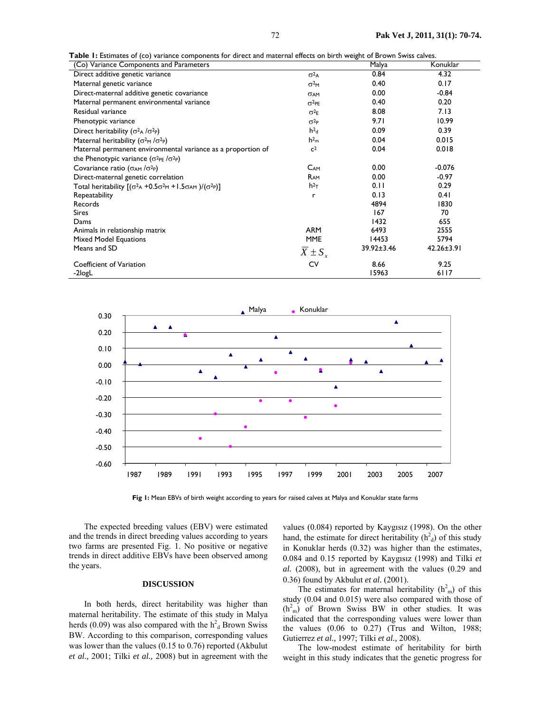**Table 1:** Estimates of (co) variance components for direct and maternal effects on birth weight of Brown Swiss calves.

| <b>Table 1: E</b> stimates of (CO) variance components for direct and maternal effects on birth weight of Brown Swiss Calves.<br>(Co) Variance Components and Parameters |                  | Malya      | Konuklar         |
|--------------------------------------------------------------------------------------------------------------------------------------------------------------------------|------------------|------------|------------------|
| Direct additive genetic variance                                                                                                                                         | $\sigma^2$ A     | 0.84       | 4.32             |
| Maternal genetic variance                                                                                                                                                | $\sigma^2$ M     | 0.40       | 0.17             |
| Direct-maternal additive genetic covariance                                                                                                                              | <b>OAM</b>       | 0.00       | $-0.84$          |
| Maternal permanent environmental variance                                                                                                                                | $\sigma^2$ PE    | 0.40       | 0.20             |
| Residual variance                                                                                                                                                        | $\sigma^2 F$     | 8.08       | 7.13             |
| Phenotypic variance                                                                                                                                                      | $\sigma^2P$      | 9.71       | 10.99            |
| Direct heritability ( $\sigma^2$ A / $\sigma^2$ P)                                                                                                                       | h <sup>2</sup> d | 0.09       | 0.39             |
| Maternal heritability ( $\sigma^2$ <sub>M</sub> / $\sigma^2$ <sub>P</sub> )                                                                                              | h <sup>2</sup> m | 0.04       | 0.015            |
| Maternal permanent environmental variance as a proportion of                                                                                                             | c <sup>2</sup>   | 0.04       | 0.018            |
| the Phenotypic variance $(\sigma^2_{PE}/\sigma^2_{P})$                                                                                                                   |                  |            |                  |
| Covariance ratio ( $\sigma_{AM}/\sigma^2$ P)                                                                                                                             | $C_{AM}$         | 0.00       | $-0.076$         |
| Direct-maternal genetic correlation                                                                                                                                      | $R_{AM}$         | 0.00       | $-0.97$          |
| Total heritability $[(\sigma^2 A + 0.5 \sigma^2 M + 1.5 \sigma_{AM})/(\sigma^2 M)]$                                                                                      | $h^2$            | 0.11       | 0.29             |
| Repeatability                                                                                                                                                            | r                | 0.13       | 0.41             |
| <b>Records</b>                                                                                                                                                           |                  | 4894       | 1830             |
| <b>Sires</b>                                                                                                                                                             |                  | 167        | 70               |
| Dams                                                                                                                                                                     |                  | 1432       | 655              |
| Animals in relationship matrix                                                                                                                                           | <b>ARM</b>       | 6493       | 2555             |
| <b>Mixed Model Equations</b>                                                                                                                                             | <b>MME</b>       | 14453      | 5794             |
| Means and SD                                                                                                                                                             | $X \pm S_{x}$    | 39.92±3.46 | $42.26 \pm 3.91$ |
| Coefficient of Variation                                                                                                                                                 | CV               | 8.66       | 9.25             |
| -2logL                                                                                                                                                                   |                  | 15963      | 6117             |



**Fig 1:** Mean EBVs of birth weight according to years for raised calves at Malya and Konuklar state farms

The expected breeding values (EBV) were estimated and the trends in direct breeding values according to years two farms are presented Fig. 1. No positive or negative trends in direct additive EBVs have been observed among the years.

#### **DISCUSSION**

In both herds, direct heritability was higher than maternal heritability. The estimate of this study in Malya herds (0.09) was also compared with the  $h<sup>2</sup><sub>d</sub>$  Brown Swiss BW. According to this comparison, corresponding values was lower than the values (0.15 to 0.76) reported (Akbulut *et al.,* 2001; Tilki *et al.,* 2008) but in agreement with the

values (0.084) reported by Kaygısız (1998). On the other hand, the estimate for direct heritability  $(h<sup>2</sup><sub>d</sub>)$  of this study in Konuklar herds (0.32) was higher than the estimates, 0.084 and 0.15 reported by Kaygısız (1998) and Tilki *et al.* (2008), but in agreement with the values (0.29 and 0.36) found by Akbulut *et al.* (2001).

The estimates for maternal heritability  $(h<sup>2</sup><sub>m</sub>)$  of this study (0.04 and 0.015) were also compared with those of  $(h<sup>2</sup><sub>m</sub>)$  of Brown Swiss BW in other studies. It was indicated that the corresponding values were lower than the values (0.06 to 0.27) (Trus and Wilton, 1988; Gutierrez *et al.,* 1997; Tilki *et al.,* 2008).

The low-modest estimate of heritability for birth weight in this study indicates that the genetic progress for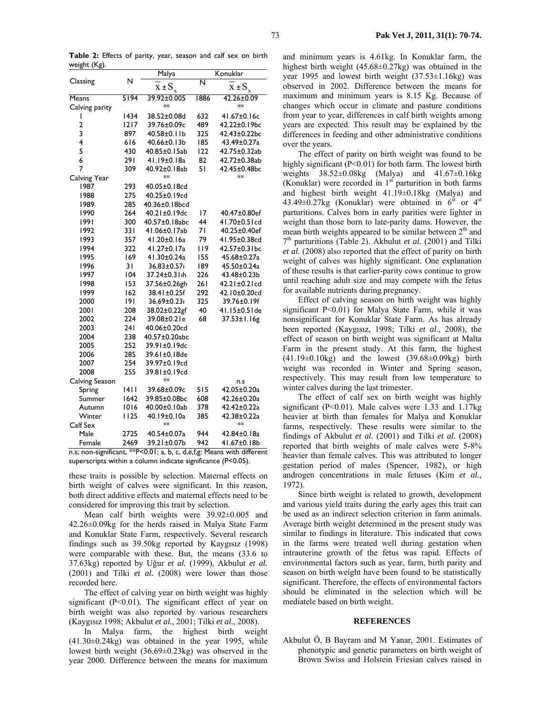Table 2: Effects of parity, year, season and calf sex on birth weight (Kg).

|                |      | Malya                   | Konuklar |                     |  |
|----------------|------|-------------------------|----------|---------------------|--|
| Classing       | N    | $x \pm S_x$             | N        | $x \pm S_x$         |  |
| Means          | 5194 | 39.92±0.005             | 1886     | 42.26±0.09          |  |
| Calving parity |      | **                      |          | $**$                |  |
|                | 1434 | 38.52±0.08d             | 632      | 41.67±0.16c         |  |
| $\overline{2}$ | 1217 | 39.76±0.09c             | 489      | 42.22±0.19bc        |  |
| 3              | 897  | 40.58±0.11b             | 325      | 42.43±0.22bc        |  |
| 4              | 616  | 40.66±0.13b             | 185      | 43.49±0.27a         |  |
| 5              | 430  | 40.85±0.15ab            | 122      | 42.75±0.32ab        |  |
| 6              | 291  | 41.19±0.18a             | 82       | 42.72±0.38ab        |  |
| 7              | 309  | 40.92±0.18ab            | 51       | 42.45±0.48bc        |  |
| Calving Year   |      | **                      |          | **                  |  |
| 1987           | 293  | 40.05±0.18cd            |          |                     |  |
| 1988           | 275  | 40.25±0.19cd            |          |                     |  |
| 1989           | 285  | 40.36±0.18bcd           |          |                     |  |
| 1990           | 264  | 40.21±0.19dc            | 17       | 40.47±0.80ef        |  |
| 1991           | 300  | 40.57±0.18abc           | 44       | 41.70±0.51cd        |  |
| 1992           | 331  | 41.06±0.17ab            | 71       | 40.25±0.40ef        |  |
| 1993           | 357  | 41.20±0.16a             | 79       | 41.95±0.38cd        |  |
| 1994           | 322  | 41.27±0.17a             | 119      | 42.57±0.31bc        |  |
| 1995           | 169  | 41.30±0.24a             | 155      | 45.68±0.27a         |  |
| 1996           | 31   | 36.83±0.57 <sub>1</sub> | 189      | 45.50±0.24a         |  |
| 1997           | 104  | 37.24±0.31th            | 226      | 43.48±0.23b         |  |
| 1998           | 153  | 37.56±0.26gh            | 261      | $42.21 \pm 0.21$ cd |  |
| 1999           | 162  | 38.41±0.25f             | 292      | 42.10±0.20cd        |  |
| 2000           | 191  | 36.69±0.23i             | 325      | 39.76±0.19f         |  |
| 2001           | 208  | 38.02±0.22gf            | 40       | $41.15 \pm 0.51$ de |  |
| 2002           | 224  | 39.08±0.21e             | 68       | 37.53±1.16g         |  |
| 2003           | 241  | 40.06±0.20cd            |          |                     |  |
| 2004           | 238  | 40.57±0.20abc           |          |                     |  |
| 2005           | 252  | 39.91±0.19dc            |          |                     |  |
| 2006           | 285  | 39.61±0.18de            |          |                     |  |
| 2007           | 254  | 39.97±0.19cd            |          |                     |  |
| 2008           | 255  | 39.81±0.19cd            |          |                     |  |
| Calving Season |      | $**$                    |          | n.s                 |  |
| Spring         | 1411 | 39.68±0.09c             | 515      | 42.05±0.20a         |  |
| Summer         | 1642 | 39.85±0.08bc            | 608      | 42.26±0.20a         |  |
| Autumn         | 1016 | 40.00±0.10ab            | 378      | 42.42±0.22a         |  |
| Winter         | 1125 | 40.19±0.10a             | 385      | 42.38±0.22a         |  |
| Calf Sex       |      | $**$                    |          | **                  |  |
| Male           | 2725 | 40.54±0.07a             | 944      | 42.84±0.18a         |  |
| Female         | 2469 | 39.21±0.07b             | 942      | 41.67±0.18b         |  |

n.s; non-significant, \*\*P<0.01; a, b, c, d,e,f,g: Means with different superscripts within a column indicate significance (P<0.05).

these traits is possible by selection. Maternal effects on birth weight of calves were significant. In this reason, both direct additive effects and maternal effects need to be considered for improving this trait by selection.

Mean calf birth weights were 39.92±0.005 and 42.26±0.09kg for the herds raised in Malya State Farm and Konuklar State Farm, respectively. Several research findings such as 39.50kg reported by Kaygisiz (1998) were comparable with these. But, the means (33.6 to 37.63kg) reported by Uğur et al. (1999), Akbulut et al.  $(2001)$  and Tilki et al.  $(2008)$  were lower than those recorded here.

The effect of calving year on birth weight was highly significant ( $P<0.01$ ). The significant effect of year on birth weight was also reported by various researchers (Kaygısız 1998; Akbulut et al., 2001; Tilki et al., 2008).

In Malya farm, the highest birth weight  $(41.30\pm0.24\text{kg})$  was obtained in the year 1995, while lowest birth weight  $(36.69 \pm 0.23 \text{kg})$  was observed in the year 2000. Difference between the means for maximum

and minimum years is 4.61kg. In Konuklar farm, the highest birth weight  $(45.68\pm0.27\text{kg})$  was obtained in the year 1995 and lowest birth weight  $(37.53 \pm 1.16 \text{kg})$  was observed in 2002. Difference between the means for maximum and minimum years is 8.15 Kg. Because of changes which occur in climate and pasture conditions from year to year, differences in calf birth weights among years are expected. This result may be explained by the differences in feeding and other administrative conditions over the years.

The effect of parity on birth weight was found to be highly significant ( $P<0.01$ ) for both farm. The lowest birth weights  $38.52\pm0.08$ kg (Malya) and  $41.67\pm0.16$ kg (Konuklar) were recorded in  $1<sup>st</sup>$  parturition in both farms and highest birth weight 41.19±0.18kg (Malya) and 43.49±0.27kg (Konuklar) were obtained in  $6<sup>st</sup>$  or  $4<sup>st</sup>$ parturitions. Calves born in early parities were lighter in weight than those born to late-parity dams. However, the mean birth weights appeared to be similar between 2<sup>th</sup> and  $7<sup>th</sup>$  parturitions (Table 2). Akbulut *et al.* (2001) and Tilki *et al.* (2008) also reported that the effect of parity on birth weight of calves was highly significant. One explanation of these results is that earlier-parity cows continue to grow until reaching adult size and may compete with the fetus for available nutrients during pregnancy.

Effect of calving season on birth weight was highly significant P<0.01) for Malya State Farm, while it was nonsignificant for Konuklar State Farm. As has already been reported (Kaygısız, 1998; Tilki et al., 2008), the effect of season on birth weight was significant at Malta Farm in the present study. At this farm, the highest  $(41.19\pm0.10\text{kg})$  and the lowest  $(39.68\pm0.09\text{kg})$  birth weight was recorded in Winter and Spring season. respectively. This may result from low temperature to winter calves during the last trimester.

The effect of calf sex on birth weight was highly significant ( $P<0.01$ ). Male calves were 1.33 and 1.17kg heavier at birth than females for Malya and Konuklar farms, respectively. These results were similar to the findings of Akbulut et al. (2001) and Tilki et al. (2008) reported that birth weights of male calves were 5-8% heavier than female calves. This was attributed to longer gestation period of males (Spencer, 1982), or high androgen concentrations in male fetuses (Kim et al., 1972).

Since birth weight is related to growth, development and various yield traits during the early ages this trait can be used as an indirect selection criterion in farm animals. Average birth weight determined in the present study was similar to findings in literature. This indicated that cows in the farms were treated well during gestation when intrauterine growth of the fetus was rapid. Effects of environmental factors such as year, farm, birth parity and season on birth weight have been found to be statistically significant. Therefore, the effects of environmental factors should be eliminated in the selection which will be mediatele based on birth weight.

### **REFERENCES**

Akbulut Ö, B Bayram and M Yanar, 2001. Estimates of phenotypic and genetic parameters on birth weight of Brown Swiss and Holstein Friesian calves raised in